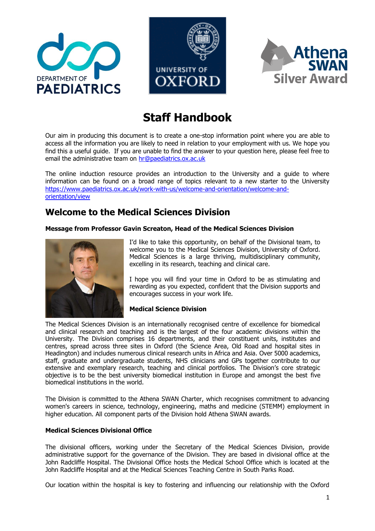





# **Staff Handbook**

Our aim in producing this document is to create a one-stop information point where you are able to access all the information you are likely to need in relation to your employment with us. We hope you find this a useful guide. If you are unable to find the answer to your question here, please feel free to email the administrative team on [hr@paediatrics.ox.ac.uk](mailto:hr@paediatrics.ox.ac.uk)

The online induction resource provides an introduction to the University and a guide to where information can be found on a broad range of topics relevant to a new starter to the University https://www.paediatrics.ox.ac.uk/work-with-us/welcome-and-orientation/welcome-andorientation/view

# **Welcome to the Medical Sciences Division**

# **Message from Professor Gavin Screaton, Head of the Medical Sciences Division**



I'd like to take this opportunity, on behalf of the Divisional team, to welcome you to the Medical Sciences Division, University of Oxford. Medical Sciences is a large thriving, multidisciplinary community, excelling in its research, teaching and clinical care.

I hope you will find your time in Oxford to be as stimulating and rewarding as you expected, confident that the Division supports and encourages success in your work life.

# **Medical Science Division**

The Medical Sciences Division is an internationally recognised centre of excellence for biomedical and clinical research and teaching and is the largest of the four academic divisions within the University. The Division comprises 16 departments, and their constituent units, institutes and centres, spread across three sites in Oxford (the Science Area, Old Road and hospital sites in Headington) and includes numerous clinical research units in Africa and Asia. Over 5000 academics, staff, graduate and undergraduate students, NHS clinicians and GPs together contribute to our extensive and exemplary research, teaching and clinical portfolios. The Division's core strategic objective is to be the best university biomedical institution in Europe and amongst the best five biomedical institutions in the world.

The Division is committed to the Athena SWAN Charter, which recognises commitment to advancing women's careers in science, technology, engineering, maths and medicine (STEMM) employment in higher education. All component parts of the Division hold Athena SWAN awards.

# **Medical Sciences Divisional Office**

The divisional officers, working under the Secretary of the Medical Sciences Division, provide administrative support for the governance of the Division. They are based in divisional office at the John Radcliffe Hospital. The Divisional Office hosts the Medical School Office which is located at the John Radcliffe Hospital and at the Medical Sciences Teaching Centre in South Parks Road.

Our location within the hospital is key to fostering and influencing our relationship with the Oxford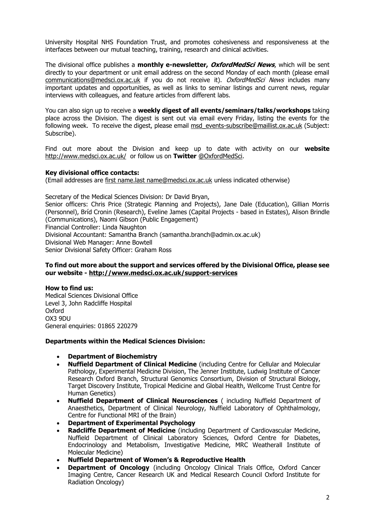University Hospital NHS Foundation Trust, and promotes cohesiveness and responsiveness at the interfaces between our mutual teaching, training, research and clinical activities.

The divisional office publishes a **monthly e-newsletter, OxfordMedSci News**, which will be sent directly to your department or unit email address on the second Monday of each month (please email [communications@medsci.ox.ac.uk](https://owa.nexus.ox.ac.uk/owa/redir.aspx?C=aNFEiCVYaEGIoMO2TUctQdIloqycMNAIh0iE9LWiCmbInFF1cF6EwPxTmDBn27xRug8PfcJUbw0.&URL=mailto%3acommunications%40medsci.ox.ac.uk) if you do not receive it). OxfordMedSci News includes many important updates and opportunities, as well as links to seminar listings and current news, regular interviews with colleagues, and feature articles from different labs.

You can also sign up to receive a **weekly digest of all events/seminars/talks/workshops** taking place across the Division. The digest is sent out via email every Friday, listing the events for the following week. To receive the digest, please email msd events-subscribe@maillist.ox.ac.uk (Subject: Subscribe).

Find out more about the Division and keep up to date with activity on our **website**  <http://www.medsci.ox.ac.uk/>or follow us on **Twitter** [@OxfordMedSci.](https://twitter.com/OxfordMedSci)

#### **Key divisional office contacts:**

(Email addresses are first name.last [name@medsci.ox.ac.uk](mailto:name@medsci.ox.ac.uk) unless indicated otherwise)

Secretary of the Medical Sciences Division: Dr David Bryan, Senior officers: Chris Price (Strategic Planning and Projects), Jane Dale (Education), Gillian Morris (Personnel), Bríd Cronin (Research), Eveline James (Capital Projects - based in Estates), Alison Brindle (Communications), Naomi Gibson (Public Engagement) Financial Controller: Linda Naughton Divisional Accountant: Samantha Branch [\(samantha.branch@admin.ox.ac.uk\)](mailto:samantha.branch@admin.ox.ac.uk) Divisional Web Manager: Anne Bowtell Senior Divisional Safety Officer: Graham Ross

#### **To find out more about the support and services offered by the Divisional Office, please see our website - <http://www.medsci.ox.ac.uk/support-services>**

**How to find us:**  Medical Sciences Divisional Office Level 3, John Radcliffe Hospital Oxford OX3 9DU General enquiries: 01865 220279

# **Departments within the Medical Sciences Division:**

- **Department of Biochemistry**
- **Nuffield Department of Clinical Medicine** (including Centre for Cellular and Molecular Pathology, Experimental Medicine Division, The Jenner Institute, Ludwig Institute of Cancer Research Oxford Branch, Structural Genomics Consortium, Division of Structural Biology, Target Discovery Institute, Tropical Medicine and Global Health, Wellcome Trust Centre for Human Genetics)
- **Nuffield Department of Clinical Neurosciences** ( including Nuffield Department of Anaesthetics, Department of Clinical Neurology, Nuffield Laboratory of Ophthalmology, Centre for Functional MRI of the Brain)
- **Department of Experimental Psychology**
- **Radcliffe Department of Medicine** (including Department of Cardiovascular Medicine, Nuffield Department of Clinical Laboratory Sciences, Oxford Centre for Diabetes, Endocrinology and Metabolism, Investigative Medicine, MRC Weatherall Institute of Molecular Medicine)
- **Nuffield Department of Women's & Reproductive Health**
- **Department of Oncology** (including Oncology Clinical Trials Office, Oxford Cancer Imaging Centre, Cancer Research UK and Medical Research Council Oxford Institute for Radiation Oncology)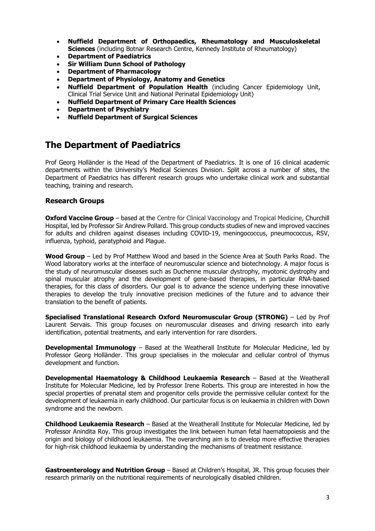- **Nuffield Department of Orthopaedics, Rheumatology and Musculoskeletal Sciences** (including Botnar Research Centre, Kennedy Institute of Rheumatology)
- **Department of Paediatrics**
- **Sir William Dunn School of Pathology**
- **Department of Pharmacology**
- **Department of Physiology, Anatomy and Genetics**
- **Nuffield Department of Population Health** (including Cancer Epidemiology Unit, Clinical Trial Service Unit and National Perinatal Epidemiology Unit)
- **Nuffield Department of Primary Care Health Sciences**
- **Department of Psychiatry**
- **Nuffield Department of Surgical Sciences**

# **The Department of Paediatrics**

Prof Georg Holländer is the Head of the Department of Paediatrics. It is one of 16 clinical academic departments within the University's Medical Sciences Division. Split across a number of sites, the Department of Paediatrics has different research groups who undertake clinical work and substantial teaching, training and research.

# **Research Groups**

**Oxford Vaccine Group** – based at the Centre for Clinical Vaccinology and Tropical Medicine, Churchill Hospital, led by Professor Sir Andrew Pollard. This group conducts studies of new and improved vaccines for adults and children against diseases including COVID-19, meningococcus, pneumococcus, RSV, influenza, typhoid, paratyphoid and Plague.

**Wood Group** – Led by Prof Matthew Wood and based in the Science Area at South Parks Road. The Wood laboratory works at the interface of neuromuscular science and biotechnology. A major focus is the study of neuromuscular diseases such as Duchenne muscular dystrophy, myotonic dystrophy and spinal muscular atrophy and the development of gene-based therapies, in particular RNA-based therapies, for this class of disorders. Our goal is to advance the science underlying these innovative therapies to develop the truly innovative precision medicines of the future and to advance their translation to the benefit of patients.

**Specialised Translational Research Oxford Neuromuscular Group (STRONG)** – Led by Prof Laurent Servais. This group focuses on neuromuscular diseases and driving research into early identification, potential treatments, and early intervention for rare disorders.

**Developmental Immunology** – Based at the Weatherall Institute for Molecular Medicine, led by Professor Georg Holländer. This group specialises in the molecular and cellular control of thymus development and function.

**Developmental Haematology & Childhood Leukaemia Research** – Based at the Weatherall Institute for Molecular Medicine, led by Professor Irene Roberts. This group are interested in how the special properties of prenatal stem and progenitor cells provide the permissive cellular context for the development of leukaemia in early childhood. Our particular focus is on leukaemia in children with Down syndrome and the newborn.

**Childhood Leukaemia Research** – Based at the Weatherall Institute for Molecular Medicine, led by Professor Anindita Roy. This group investigates the link between human fetal haematopoiesis and the origin and biology of childhood leukaemia. The overarching aim is to develop more effective therapies for high-risk childhood leukaemia by understanding the mechanisms of treatment resistance.

**Gastroenterology and Nutrition Group** – Based at Children's Hospital, JR. This group focuses their research primarily on the nutritional requirements of neurologically disabled children.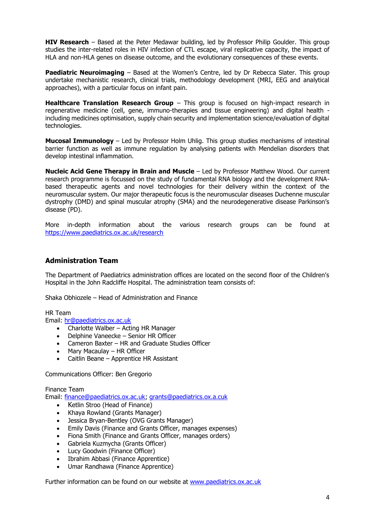**HIV Research** – Based at the Peter Medawar building, led by Professor Philip Goulder. This group studies the inter-related roles in HIV infection of CTL escape, viral replicative capacity, the impact of HLA and non-HLA genes on disease outcome, and the evolutionary consequences of these events.

**Paediatric Neuroimaging** – Based at the Women's Centre, led by Dr Rebecca Slater. This group undertake mechanistic research, clinical trials, methodology development (MRI, EEG and analytical approaches), with a particular focus on infant pain.

**Healthcare Translation Research Group** – This group is focused on high-impact research in regenerative medicine (cell, gene, immuno-therapies and tissue engineering) and digital health including medicines optimisation, supply chain security and implementation science/evaluation of digital technologies.

**Mucosal Immunology** – Led by Professor Holm Uhlig. This group studies mechanisms of intestinal barrier function as well as immune regulation by analysing patients with Mendelian disorders that develop intestinal inflammation.

**Nucleic Acid Gene Therapy in Brain and Muscle** – Led by Professor Matthew Wood. Our current research programme is focussed on the study of fundamental RNA biology and the development RNAbased therapeutic agents and novel technologies for their delivery within the context of the neuromuscular system. Our major therapeutic focus is the neuromuscular diseases Duchenne muscular dystrophy (DMD) and spinal muscular atrophy (SMA) and the neurodegenerative disease Parkinson's disease (PD).

More in-depth information about the various research groups can be found at <https://www.paediatrics.ox.ac.uk/research>

# **Administration Team**

The Department of Paediatrics administration offices are located on the second floor of the Children's Hospital in the John Radcliffe Hospital. The administration team consists of:

Shaka Obhiozele – Head of Administration and Finance

HR Team

Email: [hr@paediatrics.ox.ac.uk](mailto:hr@paediatrics.ox.ac.uk)

- Charlotte Walber Acting HR Manager
- Delphine Vaneecke Senior HR Officer
- Cameron Baxter HR and Graduate Studies Officer
- Mary Macaulay HR Officer
- Caitlin Beane Apprentice HR Assistant

Communications Officer: Ben Gregorio

Finance Team

Email: [finance@paediatrics.ox.ac.uk;](mailto:finance@paediatrics.ox.ac.uk) [grants@paediatrics.ox.a.cuk](mailto:grants@paediatrics.ox.a.cuk)

- Ketlin Stroo (Head of Finance)
- Khaya Rowland (Grants Manager)
- Jessica Bryan-Bentley (OVG Grants Manager)
- Emily Davis (Finance and Grants Officer, manages expenses)
- Fiona Smith (Finance and Grants Officer, manages orders)
- Gabriela Kuzmycha (Grants Officer)
- Lucy Goodwin (Finance Officer)
- Ibrahim Abbasi (Finance Apprentice)
- Umar Randhawa (Finance Apprentice)

Further information can be found on our website at [www.paediatrics.ox.ac.uk](http://www.paediatrics.ox.ac.uk/)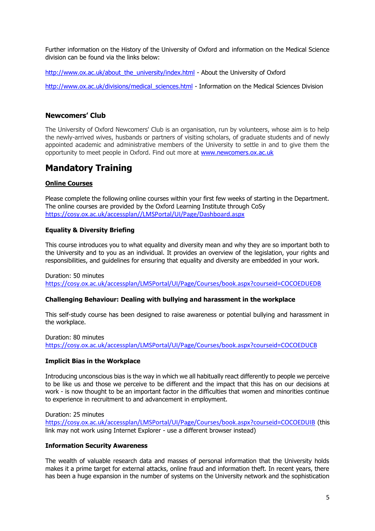Further information on the History of the University of Oxford and information on the Medical Science division can be found via the links below:

[http://www.ox.ac.uk/about\\_the\\_university/index.html](http://www.ox.ac.uk/about_the_university/index.html) - About the University of Oxford

[http://www.ox.ac.uk/divisions/medical\\_sciences.html](http://www.ox.ac.uk/divisions/medical_sciences.html) - Information on the Medical Sciences Division

# **Newcomers' Club**

The University of Oxford Newcomers' Club is an organisation, run by volunteers, whose aim is to help the newly-arrived wives, husbands or partners of visiting scholars, of graduate students and of newly appointed academic and administrative members of the University to settle in and to give them the opportunity to meet people in Oxford. Find out more at [www.newcomers.ox.ac.uk](http://www.newcomers.ox.ac.uk/)

# **Mandatory Training**

# **Online Courses**

Please complete the following online courses within your first few weeks of starting in the Department. The online courses are provided by the Oxford Learning Institute through CoSy [https://cosy.ox.ac.uk/accessplan//LMSPortal/UI/Page/Dashboard.aspx](https://cosy.ox.ac.uk/accessplan/LMSPortal/UI/Page/Dashboard.aspx)

# **Equality & Diversity Briefing**

This course introduces you to what equality and diversity mean and why they are so important both to the University and to you as an individual. It provides an overview of the legislation, your rights and responsibilities, and guidelines for ensuring that equality and diversity are embedded in your work.

Duration: 50 minutes

<https://cosy.ox.ac.uk/accessplan/LMSPortal/UI/Page/Courses/book.aspx?courseid=COCOEDUEDB>

# **Challenging Behaviour: Dealing with bullying and harassment in the workplace**

This self-study course has been designed to raise awareness or potential bullying and harassment in the workplace.

Duration: 80 minutes <https://cosy.ox.ac.uk/accessplan/LMSPortal/UI/Page/Courses/book.aspx?courseid=COCOEDUCB>

# **Implicit Bias in the Workplace**

Introducing unconscious bias is the way in which we all habitually react differently to people we perceive to be like us and those we perceive to be different and the impact that this has on our decisions at work - is now thought to be an important factor in the difficulties that women and minorities continue to experience in recruitment to and advancement in employment.

Duration: 25 minutes [https://cosy.ox.ac.uk/accessplan/LMSPortal/UI/Page/Courses/book.aspx?courseid=COCOEDUIB](https://cosy.ox.ac.uk/accessplan/LMSPortal/UI/Page/Courses/book.aspx?courseid=COCOEDUIB&referrer=coursesearch) (this link may not work using Internet Explorer - use a different browser instead)

# **Information Security Awareness**

The wealth of valuable research data and masses of personal information that the University holds makes it a prime target for external attacks, online fraud and information theft. In recent years, there has been a huge expansion in the number of systems on the University network and the sophistication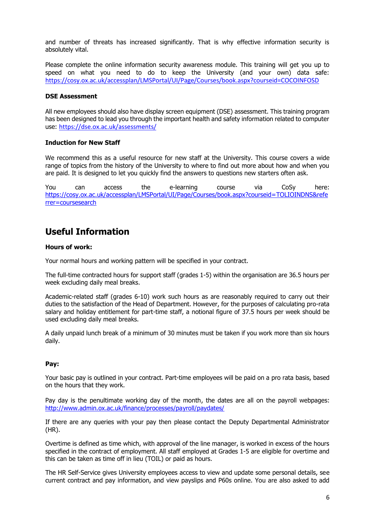and number of threats has increased significantly. That is why effective information security is absolutely vital.

Please complete the online information security awareness module. This training will get you up to speed on what you need to do to keep the University (and your own) data safe: [https://cosy.ox.ac.uk/accessplan/LMSPortal/UI/Page/Courses/book.aspx?courseid=COCOINFOSD](https://cosy.ox.ac.uk/accessplan/LMSPortal/UI/Page/Courses/book.aspx?courseid=COCOINFOSD&referrer=coursesearch)

#### **DSE Assessment**

All new employees should also have display screen equipment (DSE) assessment. This training program has been designed to lead you through the important health and safety information related to computer use: <https://dse.ox.ac.uk/assessments/>

#### **Induction for New Staff**

We recommend this as a useful resource for new staff at the University. This course covers a wide range of topics from the history of the University to where to find out more about how and when you are paid. It is designed to let you quickly find the answers to questions new starters often ask.

You can access the e-learning course via CoSy here: [https://cosy.ox.ac.uk/accessplan/LMSPortal/UI/Page/Courses/book.aspx?courseid=TOLIOINDNS&refe](https://cosy.ox.ac.uk/accessplan/LMSPortal/UI/Page/Courses/book.aspx?courseid=TOLIOINDNS&referrer=coursesearch) [rrer=coursesearch](https://cosy.ox.ac.uk/accessplan/LMSPortal/UI/Page/Courses/book.aspx?courseid=TOLIOINDNS&referrer=coursesearch)

# **Useful Information**

#### **Hours of work:**

Your normal hours and working pattern will be specified in your contract.

The full-time contracted hours for support staff (grades 1-5) within the organisation are 36.5 hours per week excluding daily meal breaks.

Academic-related staff (grades 6-10) work such hours as are reasonably required to carry out their duties to the satisfaction of the Head of Department. However, for the purposes of calculating pro-rata salary and holiday entitlement for part-time staff, a notional figure of 37.5 hours per week should be used excluding daily meal breaks.

A daily unpaid lunch break of a minimum of 30 minutes must be taken if you work more than six hours daily.

# **Pay:**

Your basic pay is outlined in your contract. Part-time employees will be paid on a pro rata basis, based on the hours that they work.

Pay day is the penultimate working day of the month, the dates are all on the payroll webpages: <http://www.admin.ox.ac.uk/finance/processes/payroll/paydates/>

If there are any queries with your pay then please contact the Deputy Departmental Administrator (HR).

Overtime is defined as time which, with approval of the line manager, is worked in excess of the hours specified in the contract of employment. All staff employed at Grades 1-5 are eligible for overtime and this can be taken as time off in lieu (TOIL) or paid as hours.

The HR Self-Service gives University employees access to view and update some personal details, see current contract and pay information, and view payslips and P60s online. You are also asked to add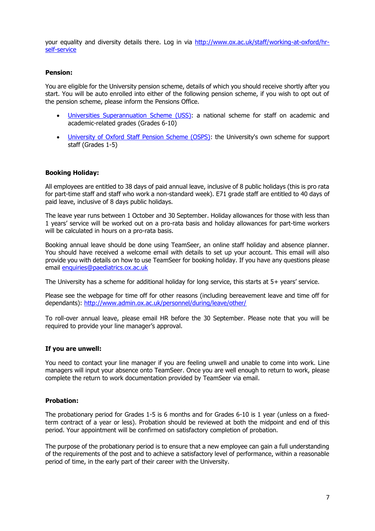your equality and diversity details there. Log in via [http://www.ox.ac.uk/staff/working-at-oxford/hr](http://www.ox.ac.uk/staff/working-at-oxford/hr-self-service)[self-service](http://www.ox.ac.uk/staff/working-at-oxford/hr-self-service)

### **Pension:**

You are eligible for the University pension scheme, details of which you should receive shortly after you start. You will be auto enrolled into either of the following pension scheme, if you wish to opt out of the pension scheme, please inform the Pensions Office.

- [Universities Superannuation Scheme \(USS\):](http://www.admin.ox.ac.uk/finance/pensions/uss/) a national scheme for staff on academic and academic-related grades (Grades 6-10)
- [University of Oxford Staff Pension Scheme \(OSPS\):](https://www.admin.ox.ac.uk/finance/epp/pensions/schemes/osps/) the University's own scheme for support staff (Grades 1-5)

# **Booking Holiday:**

All employees are entitled to 38 days of paid annual leave, inclusive of 8 public holidays (this is pro rata for part-time staff and staff who work a non-standard week). E71 grade staff are entitled to 40 days of paid leave, inclusive of 8 days public holidays.

The leave year runs between 1 October and 30 September. Holiday allowances for those with less than 1 years' service will be worked out on a pro-rata basis and holiday allowances for part-time workers will be calculated in hours on a pro-rata basis.

Booking annual leave should be done using TeamSeer, an online staff holiday and absence planner. You should have received a welcome email with details to set up your account. This email will also provide you with details on how to use TeamSeer for booking holiday. If you have any questions please email [enquiries@paediatrics.ox.ac.uk](mailto:enquiries@paediatrics.ox.ac.uk)

The University has a scheme for additional holiday for long service, this starts at 5+ years' service.

Please see the webpage for time off for other reasons (including bereavement leave and time off for dependants):<http://www.admin.ox.ac.uk/personnel/during/leave/other/>

To roll-over annual leave, please email HR before the 30 September. Please note that you will be required to provide your line manager's approval.

#### **If you are unwell:**

You need to contact your line manager if you are feeling unwell and unable to come into work. Line managers will input your absence onto TeamSeer. Once you are well enough to return to work, please complete the return to work documentation provided by TeamSeer via email.

#### **Probation:**

The probationary period for Grades 1-5 is 6 months and for Grades 6-10 is 1 year (unless on a fixedterm contract of a year or less). Probation should be reviewed at both the midpoint and end of this period. Your appointment will be confirmed on satisfactory completion of probation.

The purpose of the probationary period is to ensure that a new employee can gain a full understanding of the requirements of the post and to achieve a satisfactory level of performance, within a reasonable period of time, in the early part of their career with the University.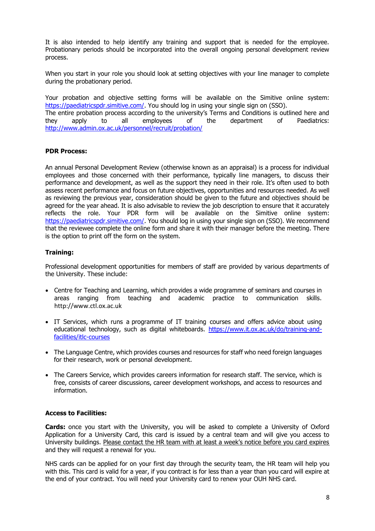It is also intended to help identify any training and support that is needed for the employee. Probationary periods should be incorporated into the overall ongoing personal development review process.

When you start in your role you should look at setting objectives with your line manager to complete during the probationary period.

Your probation and objective setting forms will be available on the Simitive online system: [https://paediatricspdr.simitive.com/.](https://paediatricspdr.simitive.com/) You should log in using your single sign on (SSO).

The entire probation process according to the university's Terms and Conditions is outlined here and they apply to all employees of the department of Paediatrics: <http://www.admin.ox.ac.uk/personnel/recruit/probation/>

# **PDR Process:**

An annual Personal Development Review (otherwise known as an appraisal) is a process for individual employees and those concerned with their performance, typically line managers, to discuss their performance and development, as well as the support they need in their role. It's often used to both assess recent performance and focus on future objectives, opportunities and resources needed. As well as reviewing the previous year, consideration should be given to the future and objectives should be agreed for the year ahead. It is also advisable to review the job description to ensure that it accurately reflects the role. Your PDR form will be available on the Simitive online system: [https://paediatricspdr.simitive.com/.](https://paediatricspdr.simitive.com/) You should log in using your single sign on (SSO). We recommend that the reviewee complete the online form and share it with their manager before the meeting. There is the option to print off the form on the system.

#### **Training:**

Professional development opportunities for members of staff are provided by various departments of the University. These include:

- Centre for Teaching and Learning, which provides a wide programme of seminars and courses in areas ranging from teaching and academic practice to communication skills. http://www.ctl.ox.ac.uk
- IT Services, which runs a programme of IT training courses and offers advice about using educational technology, such as digital whiteboards. [https://www.it.ox.ac.uk/do/training-and](https://www.it.ox.ac.uk/do/training-and-facilities/itlc-courses)[facilities/itlc-courses](https://www.it.ox.ac.uk/do/training-and-facilities/itlc-courses)
- The Language Centre, which provides courses and resources for staff who need foreign languages for their research, work or personal development.
- The Careers Service, which provides careers information for research staff. The service, which is free, consists of career discussions, career development workshops, and access to resources and information.

#### **Access to Facilities:**

**Cards:** once you start with the University, you will be asked to complete a University of Oxford Application for a University Card, this card is issued by a central team and will give you access to University buildings. Please contact the HR team with at least a week's notice before you card expires and they will request a renewal for you.

NHS cards can be applied for on your first day through the security team, the HR team will help you with this. This card is valid for a year, if you contract is for less than a year than you card will expire at the end of your contract. You will need your University card to renew your OUH NHS card.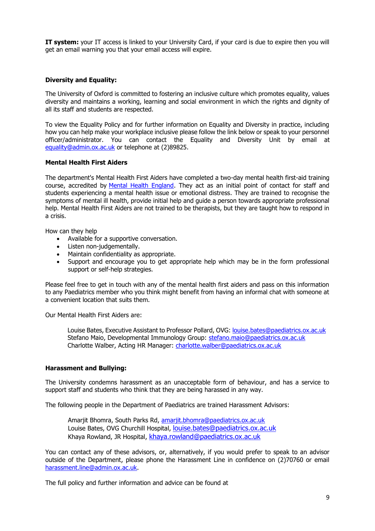**IT system:** your IT access is linked to your University Card, if your card is due to expire then you will get an email warning you that your email access will expire.

# **Diversity and Equality:**

The University of Oxford is committed to fostering an inclusive culture which promotes equality, values diversity and maintains a working, learning and social environment in which the rights and dignity of all its staff and students are respected.

To view the Equality Policy and for further information on Equality and Diversity in practice, including how you can help make your workplace inclusive please follow the link below or speak to your personnel officer/administrator. You can contact the Equality and Diversity Unit by email at [equality@admin.ox.ac.uk](mailto:equality@admin.ox.ac.uk) or telephone at (2)89825.

# **Mental Health First Aiders**

The department's Mental Health First Aiders have completed a two-day mental health first-aid training course, accredited by [Mental Health England.](https://mhfaengland.org/) They act as an initial point of contact for staff and students experiencing a mental health issue or emotional distress. They are trained to recognise the symptoms of mental ill health, provide initial help and guide a person towards appropriate professional help. Mental Health First Aiders are not trained to be therapists, but they are taught how to respond in a crisis.

How can they help

- Available for a supportive conversation.
- Listen non-judgementally.
- Maintain confidentiality as appropriate.
- Support and encourage you to get appropriate help which may be in the form professional support or self-help strategies.

Please feel free to get in touch with any of the mental health first aiders and pass on this information to any Paediatrics member who you think might benefit from having an informal chat with someone at a convenient location that suits them.

Our Mental Health First Aiders are:

Louise Bates, Executive Assistant to Professor Pollard, OVG: [louise.bates@paediatrics.ox.ac.uk](mailto:louise.bates@paediatrics.ox.ac.uk) Stefano Maio, Developmental Immunology Group: [stefano.maio@paediatrics.ox.ac.uk](mailto:stefano.maio@paediatrics.ox.ac.uk) Charlotte Walber, Acting HR Manager: [charlotte.walber@paediatrics.ox.ac.uk](mailto:charlotte.walber@paediatrics.ox.ac.uk)

# **Harassment and Bullying:**

The University condemns harassment as an unacceptable form of behaviour, and has a service to support staff and students who think that they are being harassed in any way.

The following people in the Department of Paediatrics are trained Harassment Advisors:

Amarjit Bhomra, South Parks Rd, [amarjit.bhomra@paediatrics.ox.ac.uk](mailto:amarjit.bhomra@paediatrics.ox.ac.uk) Louise Bates, OVG Churchill Hospital, [louise.bates@paediatrics.ox.ac.uk](mailto:louise.bates@paediatrics.ox.ac.uk) Khaya Rowland, JR Hospital, [khaya.rowland@paediatrics.ox.ac.uk](mailto:khaya.rowland@paediatrics.ox.ac.uk)

You can contact any of these advisors, or, alternatively, if you would prefer to speak to an advisor outside of the Department, please phone the Harassment Line in confidence on (2)70760 or email [harassment.line@admin.ox.ac.uk.](mailto:harassment.line@admin.ox.ac.uk)

The full policy and further information and advice can be found at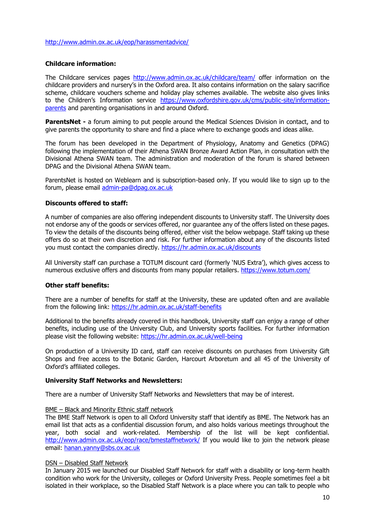#### <http://www.admin.ox.ac.uk/eop/harassmentadvice/>

# **Childcare information:**

The Childcare services pages<http://www.admin.ox.ac.uk/childcare/team/> offer information on the childcare providers and nursery's in the Oxford area. It also contains information on the salary sacrifice scheme, childcare vouchers scheme and holiday play schemes available. The website also gives links to the Children's Information service [https://www.oxfordshire.gov.uk/cms/public-site/information](https://www.oxfordshire.gov.uk/cms/public-site/information-parents)[parents](https://www.oxfordshire.gov.uk/cms/public-site/information-parents) and parenting organisations in and around Oxford.

**ParentsNet -** a forum aiming to put people around the Medical Sciences Division in contact, and to give parents the opportunity to share and find a place where to exchange goods and ideas alike.

The forum has been developed in the Department of Physiology, Anatomy and Genetics (DPAG) following the implementation of their Athena SWAN Bronze Award Action Plan, in consultation with the Divisional Athena SWAN team. The administration and moderation of the forum is shared between DPAG and the Divisional Athena SWAN team.

ParentsNet is hosted on Weblearn and is subscription-based only. If you would like to sign up to the forum, please email [admin-pa@dpag.ox.ac.uk](mailto:admin-pa@dpag.ox.ac.uk)

#### **Discounts offered to staff:**

A number of companies are also offering independent discounts to University staff. The University does not endorse any of the goods or services offered, nor guarantee any of the offers listed on these pages. To view the details of the discounts being offered, either visit the below webpage. Staff taking up these offers do so at their own discretion and risk. For further information about any of the discounts listed you must contact the companies directly.<https://hr.admin.ox.ac.uk/discounts>

All University staff can purchase a TOTUM discount card (formerly 'NUS Extra'), which gives access to numerous exclusive offers and discounts from many popular retailers.<https://www.totum.com/>

#### **Other staff benefits:**

There are a number of benefits for staff at the University, these are updated often and are available from the following link:<https://hr.admin.ox.ac.uk/staff-benefits>

Additional to the benefits already covered in this handbook, University staff can enjoy a range of other benefits, including use of the University Club, and University sports facilities. For further information please visit the following website:<https://hr.admin.ox.ac.uk/well-being>

On production of a University ID card, staff can receive discounts on purchases from University Gift Shops and free access to the Botanic Garden, Harcourt Arboretum and all 45 of the University of Oxford's affiliated colleges.

#### **University Staff Networks and Newsletters:**

There are a number of University Staff Networks and Newsletters that may be of interest.

#### BME – Black and Minority Ethnic staff network

The BME Staff Network is open to all Oxford University staff that identify as BME. The Network has an email list that acts as a confidential discussion forum, and also holds various meetings throughout the year, both social and work-related. Membership of the list will be kept confidential. <http://www.admin.ox.ac.uk/eop/race/bmestaffnetwork/> If you would like to join the network please email: [hanan.yanny@sbs.ox.ac.uk](mailto:hanan.yanny@sbs.ox.ac.uk)

#### DSN – Disabled Staff Network

In January 2015 we launched our Disabled Staff Network for staff with a disability or long-term health condition who work for the University, colleges or Oxford University Press. People sometimes feel a bit isolated in their workplace, so the Disabled Staff Network is a place where you can talk to people who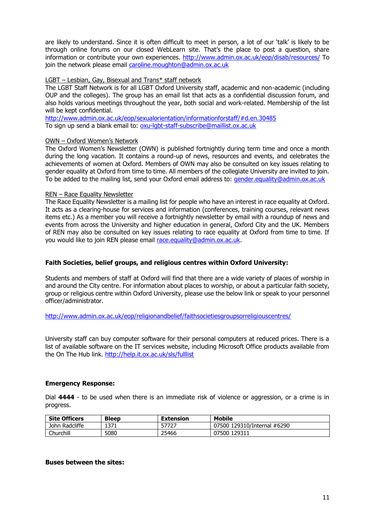are likely to understand. Since it is often difficult to meet in person, a lot of our 'talk' is likely to be through online forums on our closed WebLearn site. That's the place to post a question, share information or contribute your own experiences.<http://www.admin.ox.ac.uk/eop/disab/resources/> To join the network please email [caroline.moughton@admin.ox.ac.uk](mailto:caroline.moughton@admin.ox.ac.uk)

### LGBT – Lesbian, Gay, Bisexual and Trans\* staff network

The LGBT Staff Network is for all LGBT Oxford University staff, academic and non-academic (including OUP and the colleges). The group has an email list that acts as a confidential discussion forum, and also holds various meetings throughout the year, both social and work-related. Membership of the list will be kept confidential.

<http://www.admin.ox.ac.uk/eop/sexualorientation/informationforstaff/#d.en.30485> To sign up send a blank email to: [oxu-lgbt-staff-subscribe@maillist.ox.ac.uk](mailto:oxu-lgbt-staff-subscribe@maillist.ox.ac.uk)

#### OWN – Oxford Women's Network

The Oxford Women's Newsletter (OWN) is published fortnightly during term time and once a month during the long vacation. It contains a round-up of news, resources and events, and celebrates the achievements of women at Oxford. Members of OWN may also be consulted on key issues relating to gender equality at Oxford from time to time. All members of the collegiate University are invited to join. To be added to the mailing list, send your Oxford email address to: [gender.equality@admin.ox.ac.uk](mailto:gender.equality@admin.ox.ac.uk)

#### REN – Race Equality Newsletter

The Race Equality Newsletter is a mailing list for people who have an interest in race equality at Oxford. It acts as a clearing-house for services and information (conferences, training courses, relevant news items etc.) As a member you will receive a fortnightly newsletter by email with a roundup of news and events from across the University and higher education in general, Oxford City and the UK. Members of REN may also be consulted on key issues relating to race equality at Oxford from time to time. If you would like to join REN please email [race.equality@admin.ox.ac.uk.](mailto:race.equality@admin.ox.ac.uk)

### **Faith Societies, belief groups, and religious centres within Oxford University:**

Students and members of staff at Oxford will find that there are a wide variety of places of worship in and around the City centre. For information about places to worship, or about a particular faith society, group or religious centre within Oxford University, please use the below link or speak to your personnel officer/administrator.

<http://www.admin.ox.ac.uk/eop/religionandbelief/faithsocietiesgroupsorreligiouscentres/>

University staff can buy computer software for their personal computers at reduced prices. There is a list of available software on the IT services website, including Microsoft Office products available from the On The Hub link.<http://help.it.ox.ac.uk/sls/fulllist>

# **Emergency Response:**

Dial **4444** - to be used when there is an immediate risk of violence or aggression, or a crime is in progress.

| <b>Site Officers</b> | <b>Bleep</b> | <b>Extension</b> | <b>Mobile</b>               |
|----------------------|--------------|------------------|-----------------------------|
| John Radcliffe       | 1371         | 57727            | 07500 129310/Internal #6290 |
| Churchill            | 5080         | 25466            | 07500 129311                |

#### **Buses between the sites:**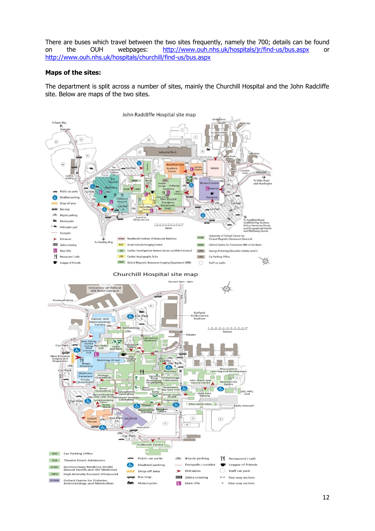There are buses which travel between the two sites frequently, namely the 700; details can be found on the OUH webpages: <http://www.ouh.nhs.uk/hospitals/jr/find-us/bus.aspx> or <http://www.ouh.nhs.uk/hospitals/churchill/find-us/bus.aspx>

### **Maps of the sites:**

The department is split across a number of sites, mainly the Churchill Hospital and the John Radcliffe site. Below are maps of the two sites.